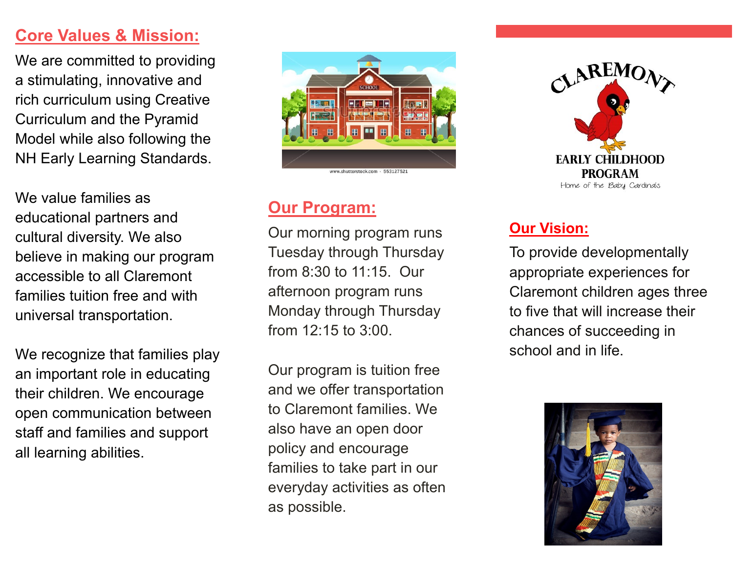### **Core Values & Mission:**

We are committed to providing a stimulating, innovative and rich curriculum using Creative Curriculum and the Pyramid Model while also following the NH Early Learning Standards.

We value families as educational partners and cultural diversity. We also believe in making our program accessible to all Claremont families tuition free and with universal transportation.

We recognize that families play an important role in educating their children. We encourage open communication between staff and families and support all learning abilities.



#### **Our Program:**

Our morning program runs Tuesday through Thursday from 8:30 to 11:15. Our afternoon program runs Monday through Thursday from 12:15 to 3:00.

Our program is tuition free and we offer transportation to Claremont families. We also have an open door policy and encourage families to take part in our everyday activities as often as possible.



#### **Our Vision:**

To provide developmentally appropriate experiences for Claremont children ages three to five that will increase their chances of succeeding in school and in life.